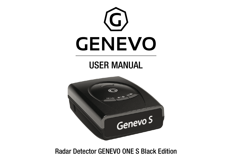

Radar Detector GENEVO ONE S Black Edition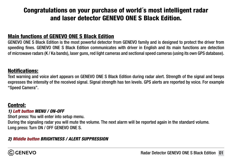# Congratulations on your purchase of world´s most intelligent radar and laser detector GENEVO ONE S Black Edition.

### Main functions of GENEVO ONE S Black Edition

GENEVO ONE S Black Edition is the most powerful detector from GENEVO family and is designed to protect the driver from speeding fines. GENEVO ONE S Black Edition communicates with driver in English and its main functions are detection of microwave radars (K / Ka bands), laser guns, red light cameras and sectional speed cameras (using its own GPS database).

### Notifications:

Text warning and voice alert appears on GENEVO ONE S Black Edition during radar alert. Strength of the signal and beeps expresses the intensity of the received signal. Signal strength has ten levels. GPS alerts are reported by voice. For example "Speed Camera".

### Control:

#### *1) Left button MENU / ON-OFF*

Short press: You will enter into setup menu.

During the signaling radar you will mute the volume. The next alarm will be reported again in the standard volume. Long press: Turn ON / OFF GENEVO ONE S.

### *2) Middle button BRIGHTNESS / ALERT SUPPRESSION*

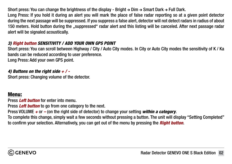Short press: You can change the brightness of the display - Bright  $\rightarrow$  Dim  $\rightarrow$  Smart Dark  $\rightarrow$  Full Dark. Long Press: If you hold it during an alert you will mark the place of false radar reporting so at a given point detector during the next passage will be suppressed. If you suppress a false alert, detector will not detect radars in radius of about 150 meters. Hold button during the "suppressed" radar alert and this listing will be canceled. After next passage radar alert will be signaled acoustically.

### *3) Right button SENSITIVITY / ADD YOUR OWN GPS POINT*

Short press: You can scroll between Highway / City / Auto City modes. In City or Auto City modes the sensitivity of K / Ka bands can be reduced according to user preference. Long Press: Add your own GPS point.

#### *4) Buttons on the right side + / -*

Short press: Changing volume of the detector.

### Menu:

Press *Left button* for enter into menu.

Press *Left button* to go from one category to the next.

Press VOLUME *+* or *–* (on the right side of detector) to change your setting *within a category*.

To complete this change, simply wait a few seconds without pressing a button. The unit will display "Setting Completed" to confirm your selection. Alternatively, you can get out of the menu by pressing the *Right button*.

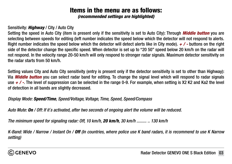# Items in the menu are as follows:

*(recommended settings are highlighted)*

### Sensitivity: *Highway* / City / Auto City

Setting the speed in Auto City (item is present only if the sensitivity is set to Auto City): Through *Middle button* you are selecting between speeds for editing (left number indicates the speed below which the detector will not respond to alerts. Right number indicates the speed below which the detector will detect alerts like in City mode).  $\neq$  / - buttons on the right side of the detector change the specific speed. When detector is set up to "20 50" speed below 20 km/h on the radar will not respond. In the velocity range 20-50 km/h will only respond to stronger radar signals. Maximum detector sensitivity on the radar starts from 50 km/h.

Setting values City and Auto City sensitivity (entry is present only if the detector sensitivity is set to other than Highway): Via *Middle button* you can select radar band for editing. To change the signal level which will respond to radar signals use *+ / -*. The level of suppression can be selected in the range 0-9. For example, when setting is X2 K2 and Ka2 the level of detection in all bands are slightly decreased.

### *Display Mode: Speed/Time, Speed/Voltage, Voltage, Time, Speed, Speed/Compass*

*Auto Mute: On / Off: If it´s activated, after two seconds of ongoing alert the volume will be reduced.*

*The minimum speed for signaling radar: Off, 10 km/h, 20 km/h, 30 km/h ......... .. 130 km/h*

*K-Band: Wide / Narrow / Instant On / Off (In countries, where police use K band radars, it is recommend to use K Narrow setting)*

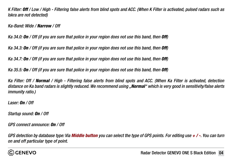*K Filter: Off / Low / High - Filtering false alerts from blind spots and ACC. (When K Filter is activated, pulsed radars such as Iskra are not detected)*

*Ka-Band: Wide / Narrow / Off*

*Ka 34.0: On / Off (if you are sure that police in your region does not use this band, then Off)*

*Ka 34.3: On / Off (if you are sure that police in your region does not use this band, then Off)*

*Ka 34.7: On / Off (if you are sure that police in your region does not use this band, then Off)*

*Ka 35.5: On / Off (if you are sure that police in your region does not use this band, then Off)*

*Ka Filter: Off / Normal / High - Filtering false alerts from blind spots and ACC. (When Ka Filter is activated, detection distance on Ka band radars is slightly reduced. We recommend using "Normal" which is very good in sensitivity/false alerts immunity ratio.)*

*Laser: On / Off* 

*Startup sound: On / Off*

*GPS connect announce: On / Off*

*GPS detection by database type: Via Middle button you can select the type of GPS points. For editing use + / -. You can turn on and off particular type of point.* 

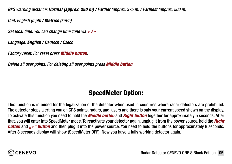*GPS warning distance: Normal (approx. 250 m) / Farther (approx. 375 m) / Farthest (approx. 500 m)*

*Unit: English (mph) / Metrics (km/h)*

*Set local time: You can change time zone via + / -*

*Language: English / Deutsch / Czech*

*Factory reset: For reset press Middle button.* 

*Delete all user points: For deleting all user points press Middle button.*

# SpeedMeter Option:

This function is intended for the legalization of the detector when used in countries where radar detectors are prohibited. The detector stops alerting you on GPS points, radars, and lasers and there is only your current speed shown on the display. To activate this function you need to hold the *Middle button* and *Right button* together for approximately 5 seconds. After that, you will enter into SpeedMeter mode. To reactivate your detector again, unplug it from the power source, hold the *Right button* and *"+" button* and then plug it into the power source. You need to hold the buttons for approximately 8 seconds. After 8 seconds display will show (SpeedMeter OFF). Now you have a fully working detector again.

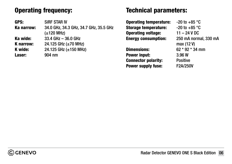# Operating frequency:

GPS: SiRF STAR IV Ka narrow: 34.0 GHz, 34.3 GHz, 34.7 GHz, 35.5 GHz (±120 MHz) Ka wide: 33.4 GHz – 36.0 GHz **K narrow:** 24.125 GHz  $(\pm 70 \text{ MHz})$ **K** wide:  $24.125$  GHz ( $\pm 150$  MHz) Laser: 904 nm

## Technical parameters:

**Operating temperature:**  $-20$  to  $+85$  °C **Storage temperature:**  $-20$  to  $+85$  °C Operating voltage: 11 – 24 V DC Energy consumption: 250 mA normal, 330 mA

Dimensions: 62 \* 92 \* 34 mm Power input: 3.96 W Connector polarity: Positive Power supply fuse: F2A/250V

max (12 V)

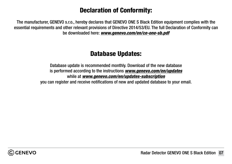# Declaration of Conformity:

The manufacturer, GENEVO s.r.o., hereby declares that GENEVO ONE S Black Edition equipment complies with the essential requirements and other relevant provisions of Directive 2014/53/EU. The full Declaration of Conformity can be downloaded here: *[www.genevo.com/en/ce-one-sb.pdf](http://www.genevo.com/en/ce-one-sb.pdf)*

# Database Updates:

Database update is recommended monthly. Download of the new database is performed according to the instructions *[www.genevo.com/en/updates](https://www.genevo.com/en/updates-support/)* while at *[www.genevo.com/en/updates-subscription](https://www.genevo.com/en/updates-subscription/)* you can register and receive notifications of new and updated database to your email.

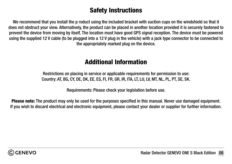# Safety Instructions

We recommend that you install the p roduct using the included bracket with suction cups on the windshield so that it does not obstruct your view. Alternatively, the product can be placed in another location provided it is securely fastened to prevent the device from moving by itself. The location must have good GPS signal reception. The device must be powered using the supplied 12 V cable (to be plugged into a 12 V plug in the vehicle) with a jack type connector to be connected to the appropriately marked plug on the device.

## Additional Information

Restrictions on placing in service or applicable requirements for permission to use: Country: AT, BG, CY, DE, DK, EE, ES, FI, FR, GR, IR, ITA, LT, LU, LV, MT, NL, PL, PT, SE, SK.

Requirements: Please check your legislation before use.

Please note: The product may only be used for the purposes specified in this manual. Never use damaged equipment. If you wish to discard electrical and electronic equipment, please contact your dealer or supplier for further information.